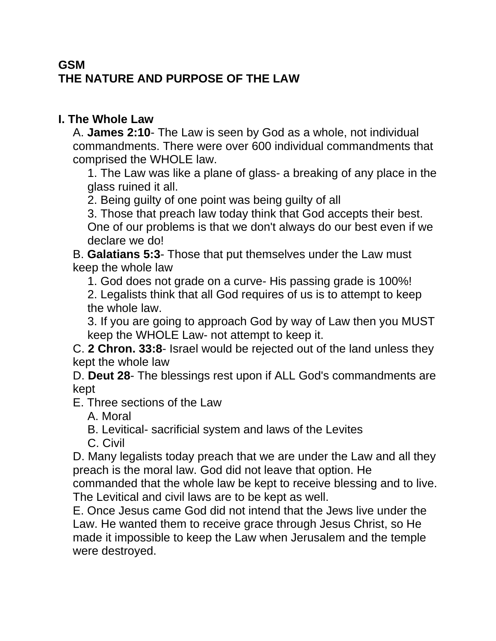# **GSM THE NATURE AND PURPOSE OF THE LAW**

#### **I. The Whole Law**

A. **James 2:10**- The Law is seen by God as a whole, not individual commandments. There were over 600 individual commandments that comprised the WHOLE law.

1. The Law was like a plane of glass- a breaking of any place in the glass ruined it all.

2. Being guilty of one point was being guilty of all

3. Those that preach law today think that God accepts their best. One of our problems is that we don't always do our best even if we declare we do!

B. **Galatians 5:3**- Those that put themselves under the Law must keep the whole law

1. God does not grade on a curve- His passing grade is 100%!

2. Legalists think that all God requires of us is to attempt to keep the whole law.

3. If you are going to approach God by way of Law then you MUST keep the WHOLE Law- not attempt to keep it.

C. **2 Chron. 33:8**- Israel would be rejected out of the land unless they kept the whole law

D. **Deut 28**- The blessings rest upon if ALL God's commandments are kept

E. Three sections of the Law

A. Moral

B. Levitical- sacrificial system and laws of the Levites

C. Civil

D. Many legalists today preach that we are under the Law and all they preach is the moral law. God did not leave that option. He commanded that the whole law be kept to receive blessing and to live. The Levitical and civil laws are to be kept as well.

E. Once Jesus came God did not intend that the Jews live under the Law. He wanted them to receive grace through Jesus Christ, so He made it impossible to keep the Law when Jerusalem and the temple were destroyed.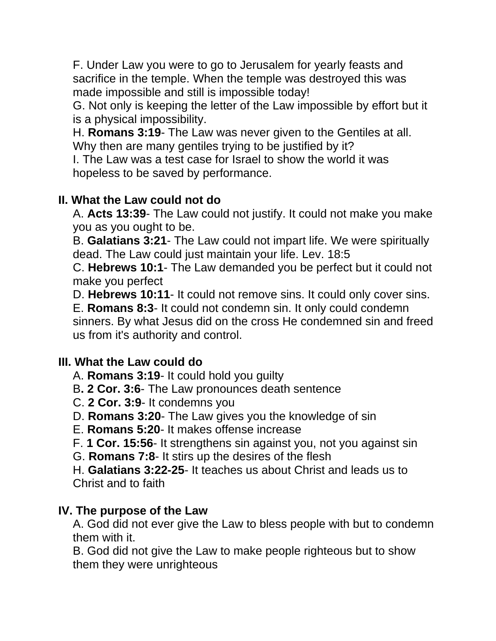F. Under Law you were to go to Jerusalem for yearly feasts and sacrifice in the temple. When the temple was destroyed this was made impossible and still is impossible today!

G. Not only is keeping the letter of the Law impossible by effort but it is a physical impossibility.

H. **Romans 3:19**- The Law was never given to the Gentiles at all. Why then are many gentiles trying to be justified by it?

I. The Law was a test case for Israel to show the world it was hopeless to be saved by performance.

## **II. What the Law could not do**

A. **Acts 13:39**- The Law could not justify. It could not make you make you as you ought to be.

B. **Galatians 3:21**- The Law could not impart life. We were spiritually dead. The Law could just maintain your life. Lev. 18:5

C. **Hebrews 10:1**- The Law demanded you be perfect but it could not make you perfect

D. **Hebrews 10:11**- It could not remove sins. It could only cover sins.

E. **Romans 8:3**- It could not condemn sin. It only could condemn sinners. By what Jesus did on the cross He condemned sin and freed us from it's authority and control.

### **III. What the Law could do**

- A. **Romans 3:19** It could hold you guilty
- B**. 2 Cor. 3:6** The Law pronounces death sentence
- C. **2 Cor. 3:9** It condemns you
- D. **Romans 3:20** The Law gives you the knowledge of sin
- E. **Romans 5:20** It makes offense increase
- F. **1 Cor. 15:56** It strengthens sin against you, not you against sin
- G. **Romans 7:8** It stirs up the desires of the flesh

H. **Galatians 3:22-25**- It teaches us about Christ and leads us to Christ and to faith

### **IV. The purpose of the Law**

A. God did not ever give the Law to bless people with but to condemn them with it.

B. God did not give the Law to make people righteous but to show them they were unrighteous